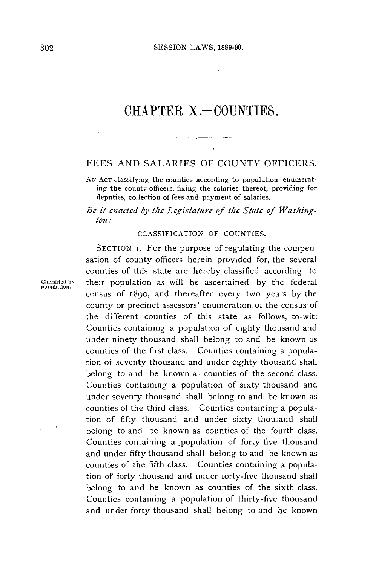# **CHAPTER** X **.- COUNTIES.**

## $\mathcal{H}^{\text{max}}_{\text{max}}$  and  $\mathcal{H}^{\text{max}}_{\text{max}}$ **FEES AND SALARIES** OF **COUNTY** OFFICERS.

**AN AcT** classifying the counties according to population, enumerating the county officers, fixing the salaries thereof, providing for deputies, collection of fees and payment of salaries.

*Be it enacted by the Legislature of the State of Washington.:*

#### **CLASSIFICATION** OF **COUNTIES.**

SECTION 1. For the purpose of regulating the compensation of county officers herein provided for, the several counties of this state are hereby classified according to Classified by their population as will be ascertained by the federal population. census of 1890, and thereafter every two years **by** the county or precinct assessors' enumeration of the census of the different counties of this state as follows, to-wit: Counties containing a population of eighty thousand and under ninety thousand shall belong to and be known as counties of the first class. Counties containing a population of seventy thousand and under eighty thousand shall belong to and be known as counties of the second class. Counties containing a population of sixty thousand and under seventy thousand shall belong to and be known as counties of the third class. Counties containing a population of **fifty** thousand and under sixty thousand shall belong to and be known as counties of the fourth class. Counties containing a .population of forty-five thousand and under **fifty** thousand shall belong to and be known as counties of the fifth class. Counties containing a population of forty thousand and under forty-five thousand shall belong to and be known as counties of the sixth class. Counties containing a population of thirty-five thousand and under forty thousand shall belong to and be known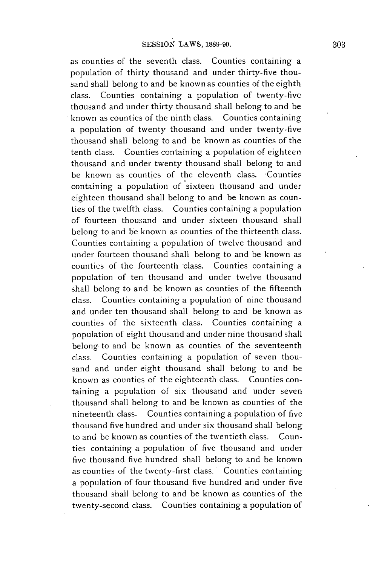as counties of the seventh class. Counties containing a population of thirty thousand and under thirty-five thousand shall belong to and be known as counties of the eighth class. Counties containing a population of twenty-five thousand and under thirty thousand shall belong to and be known as counties of the ninth class. Counties containing a population of twenty thousand and under twenty-five thousand shall belong to and be known as counties of the tenth class. Counties containing a population of eighteen thousand and under twenty thousand shall belong to and be known as counties of the eleventh class. Counties containing a population of sixteen thousand and under eighteen thousand shall belong to and be known as counties of the twelfth class. Counties containing a population of fourteen thousand and under sixteen thousand shall belong to and be known as counties of the thirteenth class. Counties containing a population of twelve thousand and under fourteen thousand shall belong to and be known as counties of the fourteenth class. Counties containing a population of ten thousand and under twelve thousand shall belong to and be known as counties of the fifteenth class. Counties containing a population of nine thousand and under ten thousand shall belong to and **be** known as counties of the sixteenth class. Counties containing a population of eight thousand and under nine thousand shall belong to and be known as counties of the seventeenth class. Counties containing a population of seven thousand and under eight thousand shall belong to and be known as counties of the eighteenth class. Counties containing a population of six thousand and under seven thousand shall belong to and be known as counties of the nineteenth class. Counties containing a population of five thousand five hundred and under six thousand shall belong to and be known as counties of the twentieth class. Counties containing a population of five thousand and under five thousand five hundred shall belong to and be known as counties of the twenty-first class. Counties containing a population of four thousand five hundred and under five thousand shall belong to and be known as counties of the twenty-second class. Counties containing a population of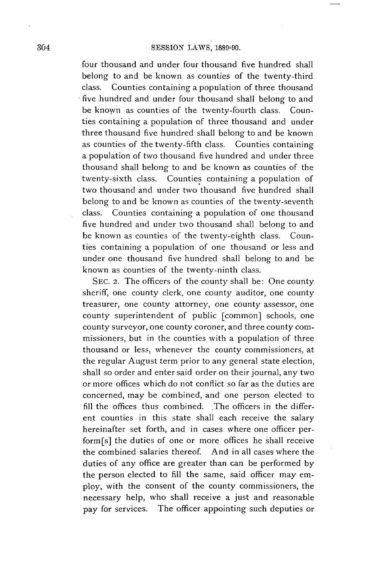four thousand and under four thousand five hundred shall belong to and be known as counties of the twenty-third class. Counties containing a population of three thousand five hundred and under four thousand shall belong to and be known as counties of the twenty-fourth class. Counties containing a population of three thousand and under three thousand five hundred shall belong to and be known as counties of the twenty-fifth class. Counties containing a population of two thousand five hundred and under three thousand shall belong to and be known as counties of the twenty-sixth class. Counties containing a population of two thousand and under two thousand five hundred shall belong to and be known as counties of the twenty-seventh class. Counties containing a population of one thousand five hundred and under two thousand shall belong to and **be** known as counties of the twenty-eighth class. Counties containing a population of one thousand or less and under one thousand five hundred shall belong to and be known as counties of the twenty-ninth class.

**SEC.** 2, The officers of the county shall be: One county sheriff, one county clerk, one county auditor, one county treasurer, one county attorney, one county assessor, one county superintendent of public [common] schools, one county surveyor, one county coroner, and three county commissioners, but in the counties with a population of three thousand or less, whenever the county commissioners, at the regular August term prior to any general state election, shall so order and enter said order on their journal, any two or more offices which do not conflict so far as the duties are concerned, may be combined, and one person elected to **fill** the offices thus combined. The officers in the different counties in this state shall each receive the salary hereinafter set forth, and in cases where one **officer per**form[s] the duties of one or more offices he shall receive the combined salaries thereof. And in all cases where the duties of any office are greater than can be performed **by** the person elected to **fill** the same, said officer may employ, with the consent of the county commissioners, the necessary help, who shall receive a just and reasonable pay for services. The officer appointing such deputies or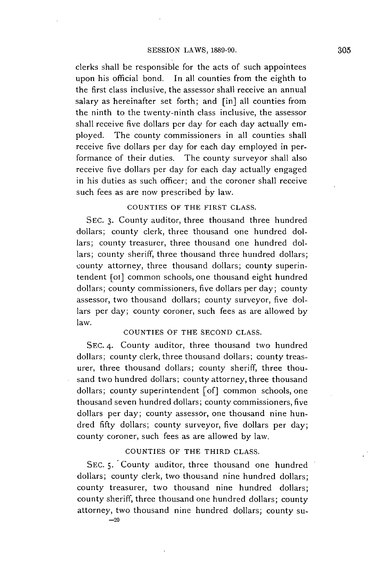clerks shall **be** responsible for the acts of such appointees upon his official bond. In all counties from the eighth to the first class inclusive, the assessor shall receive an annual salary as hereinafter set forth; and [in] all counties from the ninth to the twenty-ninth class inclusive, the assessor shall receive five dollars per day for each day actually employed. The county commissioners in all counties shall receive five dollars per day for each day employed in performance of their duties. The county surveyor shall also receive five dollars per day for each day actually engaged in his duties as such officer; and the coroner shall receive such fees as are now prescribed **by** law.

### **COUNTIES** OF THE FIRST **CLASS.**

**SEC. 3.** County auditor, three thousand three hundred dollars; county clerk, three thousand one hundred dollars; county treasurer, three thousand one hundred dollars; county sheriff, three thousand three hundred dollars; county attorney, three thousand dollars; county superintendent [ot] common schools, one thousand eight hundred dollars; county commissioners, five dollars per day; county assessor, two thousand dollars; county surveyor, five dollars per day; county coroner, such fees as are allowed **by** law.

### **COUNTIES** OF THE **SECOND CLASS.**

**SEC.** 4. County auditor, three thousand two hundred dollars; county clerk, three thousand dollars; county treasurer, three thousand dollars; county sheriff, three thousand two hundred dollars; county attorney, three thousand dollars; county superintendent [of] common schools, one thousand seven hundred dollars; county commissioners, five dollars per day; county assessor, one thousand nine hundred **fifty** dollars; county surveyor, five dollars per day; county coroner, such fees as are allowed **by** law.

### **COUNTIES** OF THE THIRD **CLASS.**

SEC. 5. County auditor, three thousand one hundred dollars; county clerk, two thousand nine hundred dollars; county treasurer, two thousand nine hundred dollars; county sheriff, three thousand one hundred dollars; county attorney, two thousand nine hundred dollars; county su-  $-20$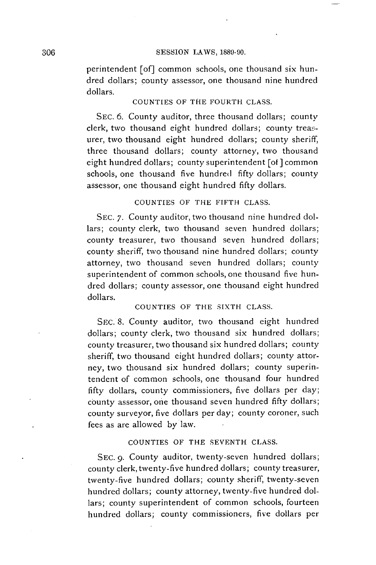perintendent [of] common schools, one thousand six hundred dollars; county assessor, one thousand nine hundred dollars.

### **COUNTIES OF THE FOURTH CLASS.**

**SEC. 6.** County auditor, three thousand dollars; county clerk, two thousand eight hundred dollars; county treasurer, two thousand eight hundred dollars; county sheriff, three thousand dollars; county attorney, two thousand eight hundred dollars; county superintendent [of **]** common schools, one thousand five hundred **fifty** dollars; county assessor, one thousand eight hundred **fifty** dollars.

### **COUNTIES OF THE FIFTH CLASS.**

**SEC. 7.** County auditor, two thousand nine hundred dollars; county clerk, two thousand seven hundred dollars; county treasurer, two thousand seven hundred dollars; county sheriff, two thousand nine hundred dollars; county attorney, two thousand seven hundred dollars; county superintendent of common schools, one thousand five hundred dollars; county assessor, one thousand eight hundred dollars.

### **COUNTIES OF THE SIXTH CLASS.**

**SEC. 8.** County auditor, two thousand eight hundred dollars; county clerk, two thousand six hundred dollars; county treasurer, two thousand six hundred dollars; county sheriff, two thousand eight hundred dollars; county attorney, two thousand six hundred dollars; county superintendent of common schools, one thousand four hundred **fifty** dollars, county commissioners, five dollars per day; county assessor, one thousand seven hundred **fifty** dollars; county surveyor, five dollars per day; county coroner, such fees as are allowed **by** law.

### **COUNTIES OF THE SEVENTH CLASS.**

**SEC. 9.** County auditor, twenty-seven hundred dollars; county clerk, twenty-five hundred dollars; county treasurer, twenty-five hundred dollars; county sheriff, twenty-seven hundred dollars; county attorney, twenty-five hundred dollars; county superintendent of common schools, fourteen hundred dollars; county commissioners, five dollars per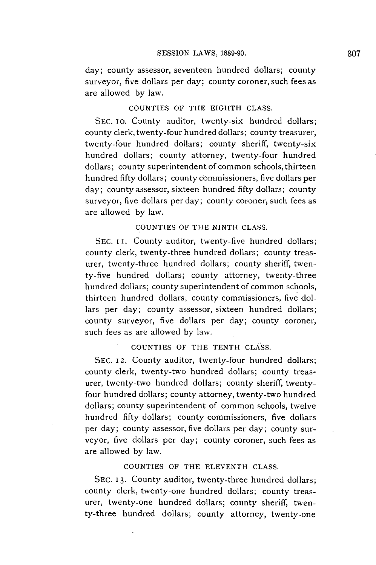day; county assessor, seventeen hundred dollars; county surveyor, five dollars per day; county coroner, such fees as are allowed **by** law.

### **COUNTIES OF THE EIGHTH CLASS.**

SEC. 10. County auditor, twenty-six hundred dollars; county clerk, twenty-four hundred dollars; county treasurer, twenty-four hundred dollars; county sheriff, twenty-six hundred dollars; county attorney, twenty-four hundred dollars; county superintendent of common schools, thirteen hundred **fifty** dollars; county commissioners, five dollars per day; county assessor, sixteen hundred **fifty** dollars; county surveyor, five dollars per day; county coroner, such fees as are allowed **by** law.

### **COUNTIES OF THE NINTH CLASS.**

SEC. II. County auditor, twenty-five hundred dollars; county clerk, twenty-three hundred dollars; county treasurer, twenty-three hundred dollars; county sheriff, twenty-five hundred dollars; county attorney, twenty-three hundred dollars; county superintendent of common schools, thirteen hundred dollars; county commissioners, five dollars per day; county assessor, sixteen hundred dollars; county surveyor, five dollars per day; county coroner, such fees as are allowed **by** law.

### **COUNTIES OF THE TENTH CLASS.**

**SEC. 12.** County auditor, twenty-four hundred dollars; county clerk, twenty-two hundred dollars; county treasurer, twenty-two hundred dollars; county sheriff, twentyfour hundred dollars; county attorney, twenty-two hundred dollars; county superintendent of common schools, twelve hundred **fifty** dollars; county commissioners, five dollars per day; county assessor, five dollars per day; county surveyor, five dollars per day; county coroner, such fees as are allowed **by** law.

### **COUNTIES OF THE ELEVENTH CLASS.**

**SEC. 13.** County auditor, twenty-three hundred dollars; county clerk, twenty-one hundred dollars; county treasurer, twenty-one hundred dollars; county sheriff, twenty-three hundred dollars; county attorney, twenty-one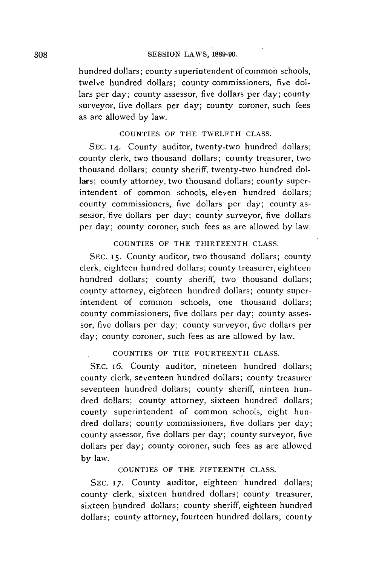hundred dollars; county superintendent of common schools, twelve hundred dollars; county commissioners, five dollars per day; county assessor, five dollars per day; county surveyor, five dollars per day; county coroner, such fees as are allowed **by** law.

#### **COUNTIES OF THE TWELFTH CLASS.**

**SEC. 14.** County auditor, twenty-two hundred dollars; county clerk, two thousand dollars; county treasurer, two thousand dollars; county sheriff, twenty-two hundred dollars; county attorney, two thousand dollars; county superintendent of common schools, eleven hundred dollars; county commissioners, five dollars per day; county assessor, five dollars per day; county surveyor, five dollars per day; county coroner, such fees as are allowed **by** law.

**COUNTIES OF THE THIRTEENTH CLASS.**

**SEC. 15.** County auditor, two thousand dollars; county clerk, eighteen hundred dollars; county treasurer, eighteen hundred dollars; county sheriff, two thousand dollars; county attorney, eighteen hundred dollars; county superintendent of common schools, one thousand dollars; county commissioners, five dollars per day; county assessor, five dollars per day; county surveyor, five dollars per day; county coroner, such fees as are allowed **by** law.

### **COUNTIES OF THE FOURTEENTH CLASS.**

**SEC.** I6. County auditor, nineteen hundred dollars; county clerk, seventeen hundred dollars; county treasurer seventeen hundred dollars; county sheriff, ninteen hundred dollars; county attorney, sixteen hundred dollars; county superintendent of common schools, eight hundred dollars; county commissioners, five dollars per day; county assessor, five dollars per day; county surveyor, five dollars per day; county coroner, such fees as are allowed **by** law.

**COUNTIES OF THE FIFTEENTH CLASS.**

**SEC. 17.** County auditor, eighteen hundred dollars; county clerk, sixteen hundred dollars; county treasurer, sixteen hundred dollars; county sheriff, eighteen hundred dollars; county attorney, fourteen hundred dollars; county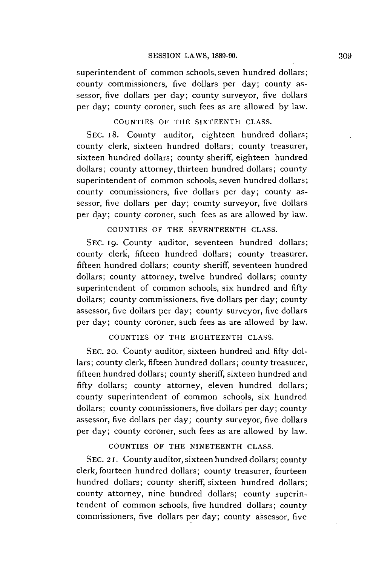superintendent of common schools, seven hundred dollars; county commissioners, five dollars per day; county assessor, five dollars per day; county surveyor, five dollars per day; county coroner, such fees as are allowed **by** law.

### **COUNTIES OF THE SIXTEENTH CLASS.**

**SEC.** 18. County auditor, eighteen hundred dollars; county clerk, sixteen hundred dollars; county treasurer, sixteen hundred dollars; county sheriff, eighteen hundred dollars; county attorney, thirteen hundred dollars; county superintendent of common schools, seven hundred dollars; county commissioners, five dollars per day; county assessor, five dollars per day; county surveyor, five dollars per day; county coroner, such fees as are allowed **by** law.

**COUNTIES OF THE SEVENTEENTH CLASS.**

**SEC. 19.** County auditor, seventeen hundred dollars; county clerk, fifteen hundred dollars; county treasurer, fifteen hundred dollars; county sheriff, seventeen hundred dollars; county attorney, twelve hundred dollars; county superintendent of common schools, six hundred and fifty dollars; county commissioners, five dollars per day; county assessor, five dollars per day; county surveyor, five dollars per day; county coroner, such fees as are allowed **by** law.

**COUNTIES OF THE EIGHTEENTH CLASS.**

**SEC. 20.** County auditor, sixteen hundred and **fifty** dollars; county clerk, fifteen hundred dollars; county treasurer, fifteen hundred dollars; county sheriff, sixteen hundred and **fifty** dollars; county attorney, eleven hundred dollars; county superintendent of common schools, six hundred dollars; county commissioners, five dollars per day; county assessor, five dollars per day; county surveyor, five dollars per day; county coroner, such fees as are allowed **by** law.

### **COUNTIES OF THE NINETEENTH CLASS.**

**SEC. 2 1.** County auditor, sixteen hundred dollars; county clerk, fourteen hundred dollars; county treasurer, fourteen hundred dollars; county sheriff, sixteen hundred dollars; county attorney, nine hundred dollars; county superintendent of common schools, five hundred dollars; county commissioners, five dollars per day; county assessor, five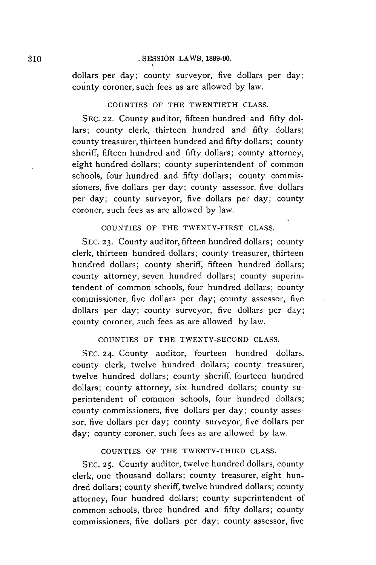dollars per day; county surveyor, five dollars per day; county coroner, such fees as are allowed **by** law.

### **COUNTIES OF THE TWENTIETH CLASS.**

**SEC. 22.** County auditor, fifteen hundred and **fifty** dollars; county clerk, thirteen hundred and **fifty** dollars; county treasurer, thirteen hundred and **fifty** dollars; county sheriff, fifteen hundred and **fifty** dollars; county attorney, eight hundred dollars; county superintendent of common schools, four hundred and **fifty** dollars; county commissioners, five dollars per day; county assessor, five dollars per day; county surveyor, five dollars per day; county coroner, such fees as are allowed **by** law.

### **COUNTIES OF THE TWENTY-FIRST CLASS.**

**SEC. 23.** County auditor, fifteen hundred dollars; county clerk, thirteen hundred dollars; county treasurer, thirteen hundred dollars; county sheriff, fifteen hundred dollars; county attorney, seven hundred dollars; county superintendent of common schools, four hundred dollars; county commissioner, five dollars per day; county assessor, five dollars per day; county surveyor, five dollars per day; county coroner, such fees as are allowed **by** law.

### **COUNTIES OF THE TWENTY-SECOND CLASS.**

**SEC. 24.** County auditor, fourteen hundred dollars, county clerk, twelve hundred dollars; county treasurer, twelve hundred dollars; county sheriff, fourteen hundred dollars; county attorney, six hundred dollars; county superintendent of common schools, four hundred dollars; county commissioners, five dollars per day; county assessor, five dollars per day; county surveyor, five dollars per day; county coroner, such fees as are allowed **by** law.

### **COUNTIES OF THE TWENTY-THIRD CLASS.**

**SEC. 25.** County auditor, twelve hundred dollars, county clerk, one thousand dollars; county treasurer, eight hundred dollars; county sheriff, twelve hundred dollars; county attorney, four hundred dollars; county superintendent of common schools, three hundred and **fifty** dollars; county commissioners, five dollars per day; county assessor, five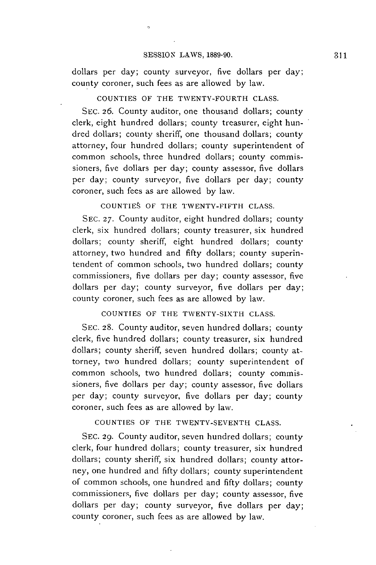$\alpha$ 

dollars per day; county surveyor, five dollars per day; county coroner, such fees as are allowed **by** law.

### **COUNTIES OF THE TWENTY-FOURTH CLASS.**

**SEC. 26.** County auditor, one thousand dollars; county clerk, eight hundred dollars; county treasurer, eight hundred dollars; county sheriff, one thousand dollars; county attorney, four hundred dollars; county superintendent of common schools, three hundred dollars; county commissioners, five dollars per day; county assessor, five dollars per day; county surveyor, five dollars per day; county coroner, such fees as are allowed **by** law.

**COUNTIES OF THE TWENTY-FIFTH CLASS.**

**SEC. 27.** County auditor, eight hundred dollars; county clerk, six hundred dollars; county treasurer, six hundred dollars; county sheriff, eight hundred dollars; county attorney, two hundred and **fifty** dollars; county superintendent of common schools, two hundred dollars; county commissioners, five dollars per day; county assessor, five dollars per day; county surveyor, five dollars per day; county coroner, such fees as are allowed **by** law.

**COUNTIES OF THE TWENTY-SIXTH CLASS.**

**SEC. 28.** County auditor, seven hundred dollars; county clerk, five hundred dollars; county treasurer, six hundred dollars; county sheriff, seven hundred dollars; county attorney, two hundred dollars; county superintendent of common schools, two hundred dollars; county commissioners, five dollars per day; county assessor, five dollars per day; county surveyor, five dollars per day; county coroner, such fees as are allowed **by** law.

**COUNTIES OF THE TWENTY-SEVENTH CLASS.**

**SEC. 29.** County auditor, seven hundred dollars; county clerk, four hundred dollars; county treasurer, six hundred dollars; county sheriff, six hundred dollars; county attorney, one hundred and **fifty** dollars; county superintendent of common schools, one hundred and **fifty** dollars; county commissioners, five dollars per day; county assessor, five dollars per day; county surveyor, five dollars per day; county coroner, such fees as are allowed **by** law.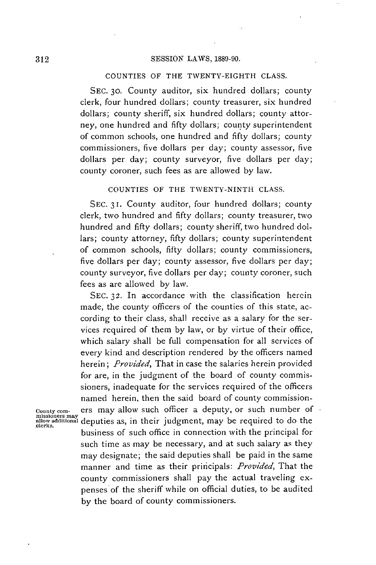#### **COUNTIES OF THE TWENTY-EIGHTH CLASS.**

**SEC. 30.** County auditor, six hundred dollars; county clerk, four hundred dollars; county treasurer, six hundred dollars; county sheriff, six hundred dollars; county attorney, one hundred and **fifty** dollars; county superintendent of common schools, one hundred and **fifty** dollars; county commissioners, five dollars per day; county assessor, five dollars per day; county surveyor, five dollars per day; county coroner, such fees as are allowed **by** law.

**COUNTIES OF THE TWENTY-NINTH CLASS.**

**SEC. 31.** County auditor, four hundred dollars; county clerk, two hundred and **fifty** dollars; county treasurer, two hundred and **fifty** dollars; county sheriff, two hundred dollars; county attorney, **fifty** dollars; county superintendent of common schools, **fifty** dollars; county commissioners, five dollars per day; county assessor, five dollars per day; county surveyor, five dollars per day; county coroner, such fees as are allowed **by** law.

**SEC. 32.** In accordance with the classification herein made, the county officers of the counties of this state, according to their class, shall receive as a salary for the services required of them **by** law, or **by** virtue of their office, which salary shall be full compensation for all services of every kind and description rendered **by** the officers named *herein; Provided,* That in case the salaries herein provided for are, in the judgment of the board of county commissioners, inadequate for the services required of the officers named herein, then the said board of county commission-

**Countycom-** ers may allow such officer a deputy, or such number of **missioners may allow addional** deputies as, in their judgment, may be required to do the **julerks.** business of such office in connection with the principal for such time as may be necessary, and at such salary as they may designate; the said deputies shall be paid in the same manner and time as their principals: *Provided,* That the county commissioners shall pay the actual traveling expenses of the sheriff while on official duties, to be audited **by** the board of county commissioners.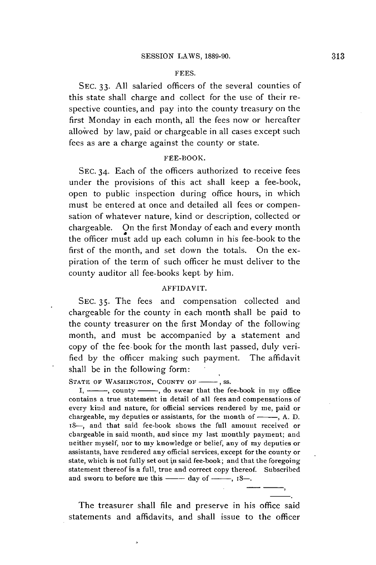#### **FEES.**

**SEC. 33. All** salaried officers of the several counties of this state shall charge and collect for the use of their respective counties, and pay into the county treasury on the first Monday in each month, all the fees now or hereafter allowed **by** law, paid or chargeable in all cases except such fees as are a charge against the county or state.

#### FEE-BOOK.

**SEC.** 34. Each of the officers authorized to receive fees under the provisions of this act shall keep a fee-book, open to public inspection during office hours, in which must be entered at once and detailed all fees or compensation of whatever nature, kind or description, collected or chargeable. On the first Monday of each and every month the officer must add up each column in his fee-book to the first of the month, and set down the totals. On the expiration of the term of such officer he must deliver to the county auditor all fee-books kept. **by** him.

### AFFIDAVIT.

**SEC. 35.** The fees and compensation collected and chargeable for the county in each month shall **be** paid to the county treasurer on the first Monday of the following month, and must be accompanied **by** a statement and copy of the fee-book for the month last passed, duly verified **by** the officer making such payment. The affidavit shall **be** in the following form:

STATE OF WASHINGTON, COUNTY OF  $\longrightarrow$ , ss.

I, ---, county ---, do swear that the fee-book in my office contains a true statement in detail of all fees and compensations of every kind and nature, for official services rendered **by** me, paid or chargeable, my deputies or assistants, for the month of  $\_\_\_\$ , A. D. 18-, and that said fee-book shows the full amount received or chargeable in said month, and since my last monthly payment; and neither myself, nor to my knowledge or belief, any of my deputies or assistants, have rendered any official services, except for the county or state, which is not fully set out in said fee-book; and that the foregoing statement thereof is a full, true and correct copy thereof. Subscribed and sworn to before me this  $\frac{1}{2}$  day of  $\frac{1}{2}$ , 18-.

The treasurer shall file and preserve in his office said statements and affidavits, and shall issue to the officer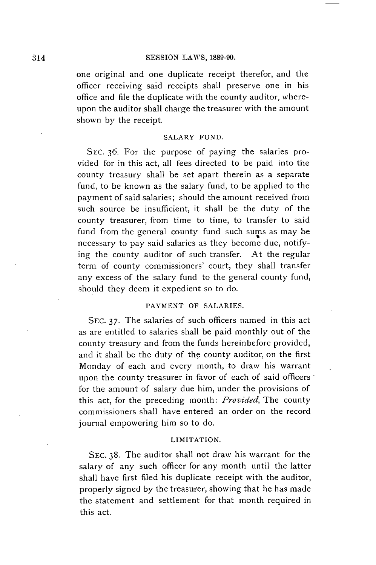one original and one duplicate receipt therefor, and the officer receiving said receipts shall preserve one in his office and file the duplicate with the county auditor, whereupon the auditor shall charge the treasurer with the amount shown **by** the receipt.

### SALARY **FUND.**

**SEC. 36.** For the purpose of paying the salaries provided for in this act, all fees directed to be paid into the county treasury shall be set apart therein as a separate fund, to be known as the salary fund, to be applied to the payment of said salaries; should the amount received from such source be insufficient, it shall be the duty of the county treasurer, from time to time, to transfer to said fund from the general county fund such sums as may be necessary to pay said salaries as they become due, notifying the county auditor of such transfer. At the regular term of county commissioners' court, they shall transfer any excess of the salary fund to the general county fund, should they deem it expedient so to do.

### **PAYMENT** OF **SALARIES.**

**SEC. 37.** The salaries of such officers named in this act as are entitled to salaries shall be paid monthly out of the county treasury and from the funds hereinbefore provided, and it shall **be** the duty of the county auditor, on the first Monday of each and every month, to draw his warrant upon the county treasurer in favor of each of said officers <sup>.</sup> for the amount of salary due him, under the provisions of this act, for the preceding month: *Provided,* The county commissioners shall have entered an order on the record journal empowering him so to do.

#### LIMITATION.

**SEC. 38.** The auditor shall not draw his warrant for the salary of any such officer for any month until the latter shall have first filed his duplicate receipt with the auditor, properly signed **by** the treasurer, showing that he has made the statement and settlement for that month required in this act.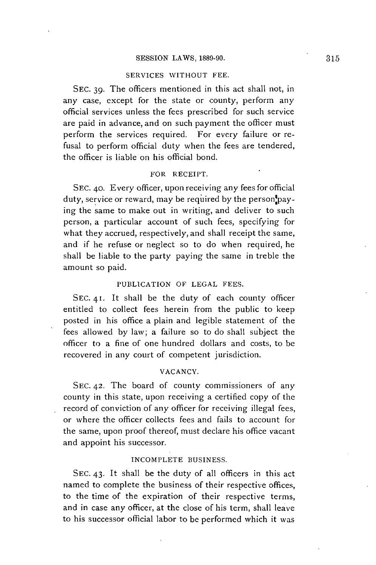#### **SERVICES WITHOUT FEE.**

**SEC. 39.** The officers mentioned in this act shall not, in any case, except for the state or county, perform any official services unless the fees prescribed for such service are paid in advance, and on such payment the officer must perform the services required. For every failure or refusal to perform official duty when the fees are tendered, the officer is liable on his official bond.

#### **FOR RECEIPT.**

**SEC. 40.** Every officer, upon receiving any fees for official duty, service or reward, may be required **by** the person paying the same to make out in writing, and deliver to such person, a particular account of such fees, specifying for what they accrued, respectively, and shall receipt the same, and if he refuse or neglect so to do when required, he shall be liable to the party paying the same in treble the amount so paid.

#### **PUBLICATION OF LEGAL FEES.**

SEC. 41. It shall be the duty of each county officer entitled to collect fees herein from the public to keep posted in his office a plain and legible statement of the fees allowed **by** law; a failure so to do shall subject the officer to a fine of one hundred dollars and costs, to be recovered in any court of competent jurisdiction.

#### **VACANCY.**

**SEC. 42.** The board of county commissioners of any county in this state, upon receiving a certified copy of the record of conviction of any officer for receiving illegal fees, or where the officer collects fees and fails to account for the same, upon proof thereof, must declare his office vacant and appoint his successor.

#### **INCOMPLETE BUSINESS.**

**SEC.** 43. It shall be the duty of all officers in this act named to complete the business of their respective offices, to the time of the expiration of their respective terms, and in case any officer, at the close of his term, shall leave to his successor official labor to be performed which it was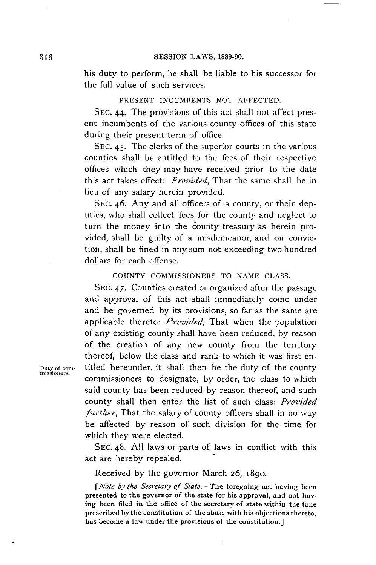his duty to perform, he shall be liable to his successor for the full value of such services.

### **PRESENT INCUMBENTS NOT AFFECTED.**

**SEC.** *44.* The provisions of this act shall not affect present incumbents of the various county offices of this state during their present term of office.

**SEC.** 45. The clerks of the superior courts in the various counties shall be entitled to the fees of their respective offices which they may have received prior to the date this act takes effect: *Provided,* That the same shall be in lieu of any salary herein provided.

**SEC.** 46. Any and all officers of a county, or their deputies, who shall collect fees for the **county** and neglect to turn the money into the county treasury as herein provided, shall **be** guilty of a misdemeanor, and on conviction, shall be fined in any sum not exceeding two hundred dollars for each offense.

#### **COUNTY** COMMISSIONERS TO **NAME CLASS.**

**SEC.** 47. Counties created or organized after the passage and approval of this act shall immediately come under and **be** governed **by** its provisions, so far as the same are applicable thereto: *Provided,* That when the population of any existing county shall have been reduced, **by** reason of the creation of any new county from the territory thereof, below the class and rank to which it was first en-**Duty of corn-** titled hereunder, it shall then be the duty of the county commissioners to designate, **by** order, the class to which said county has been reduced by reason thereof, and such county shall then enter the list of such class: *Provided further*, That the salary of county officers shall in no way be affected **by** reason of such division for the time for which they were elected.

> **SEC.** 48. **All** laws or parts of laws in conflict with this act are hereby repealed.

Received **by** the governor March **26,** 1890.

*[Note by the Secretary of State.-The* **foregoing act having been presented to the governor of the state for his approval, and not having been filed in the office of the secretary of state within the time prescribed by the constitution of the state, with his objections thereto, has become a law under the provisions of the constitution.]**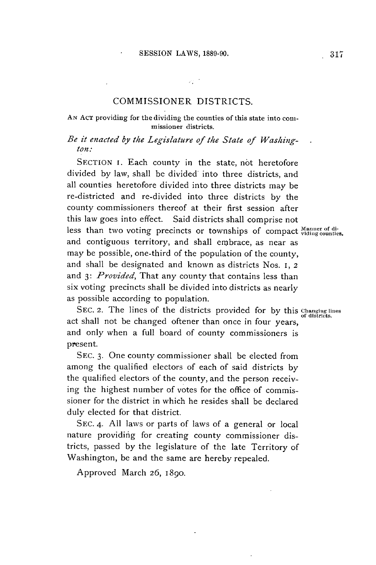### COMMISSIONER DISTRICTS.

### AN ACT providing for the dividing the counties of this state into commissioner districts.

### *Be it enacted by the Legislature of the State of Washington.\**

**SECTION** i. Each county in the state, not heretofore divided **by** law, shall be divided into three districts, and all counties heretofore divided into three districts may be re-districted and re-divided into three districts **by** the county commissioners thereof at their first session after this law goes into effect. Said districts shall comprise not less than two voting precincts or townships of compact Manner of diand contiguous territory, and shall embrace, as near as may be possible, one-third of the population of the county, and shall be designated and known as districts Nos. I, <sup>2</sup> and **3:** *Provided,* That any county that contains less than six voting precincts shall be divided into districts as nearly as possible according to population.

**SEC.** 2. The lines of the districts provided for **by** this Changing **lnes** of districts. act shall not be changed oftener than once in four years, and only when a full board of county commissioners is present.

**SEC. 3.** One county commissioner shall be elected from among the qualified electors of each of said districts **by** the qualified electors of the county, and the person receiving the highest number of votes for the office of commissioner for the district in which he resides shall be declared duly elected for that district.

**SEC.** 4. **All** laws or parts of laws of a general or local nature providing for creating county commissioner districts, passed **by** the legislature of the late Territory of Washington, be and the same are hereby repealed.

Approved March **26,** 1890.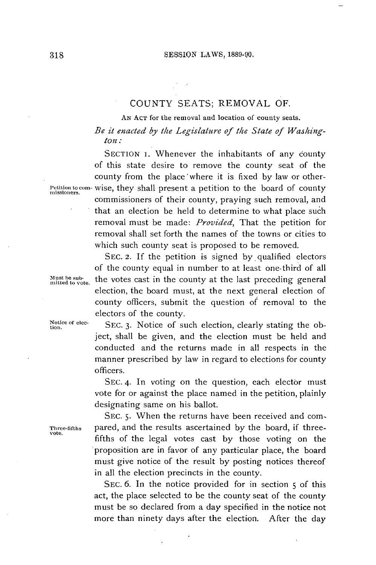### **COUNTY SEATS;** REMOVAL OF.

**AN ACT** for the removal and location of county seats.

*Be it enacted by the Legislature of the State of Washington:*

**SECTION** 1. Whenever the inhabitants of any county of this state desire to remove the county seat of the county from the place 'where it is fixed **by** law or other-Petition to com- wise, they shall present a petition to the board of county missioners. commissioners of their county, praying such removal, and that an election be held to determine to what place such removal must be made: *Provided,* That the petition for removal shall set forth the names of the towns or cities to which such county seat is proposed to be removed.

**SEC.** 2. **If** the petition is signed **by.** qualified electors of the county equal in number to at least one-third of all **ust be sub.** the votes cast in the county at the last preceding general **milted to vote** election, the board must, at the next general election of county officers, submit the question of removal to the electors of the county.

Notice of elec- **SEC.** 3. Notice of such election, clearly stating the object, shall be given, and the election must be held and conducted and the returns made in all respects in the manner prescribed **by** law in regard to elections for county officers.

> **SEC.** 4. In voting on the question, each elector must vote for or against the place named in the petition, plainly designating same on his ballot.

**SEC. 5.** When the returns have been received and com-**Three-fifths** pared, and the results ascertained **by** the board, if three- **vote.** fifths of the legal votes cast **by** those voting on the proposition are in favor of any particular place, the board must give notice of the result **by** posting notices thereof in all the election precincts in the county.

> SEC. **6.** In the notice provided for in section **5** of this act, the place selected to be the county seat of the county must be so declared from a day specified in the notice not more than ninety days after the election. After the day